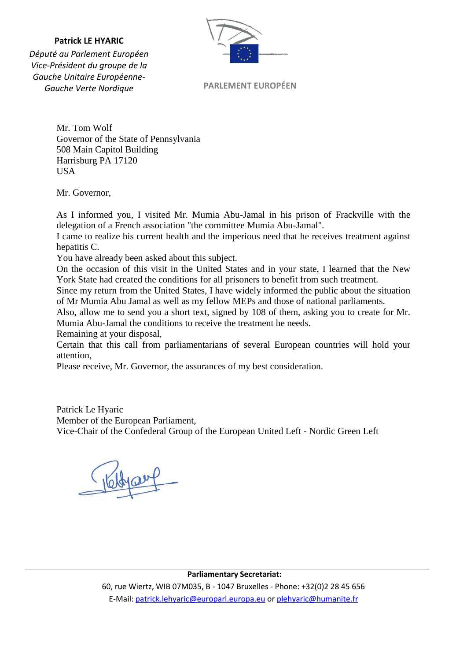#### **Patrick LE HYARIC**



*Député au Parlement Européen Vice-Président du groupe de la Gauche Unitaire Européenne-Gauche Verte Nordique*

**PARLEMENT EUROPÉEN**

Mr. Tom Wolf Governor of the State of Pennsylvania 508 Main Capitol Building Harrisburg PA 17120 **USA** 

Mr. Governor,

As I informed you, I visited Mr. Mumia Abu-Jamal in his prison of Frackville with the delegation of a French association "the committee Mumia Abu-Jamal".

I came to realize his current health and the imperious need that he receives treatment against hepatitis C.

You have already been asked about this subject.

On the occasion of this visit in the United States and in your state, I learned that the New York State had created the conditions for all prisoners to benefit from such treatment.

Since my return from the United States, I have widely informed the public about the situation of Mr Mumia Abu Jamal as well as my fellow MEPs and those of national parliaments.

Also, allow me to send you a short text, signed by 108 of them, asking you to create for Mr. Mumia Abu-Jamal the conditions to receive the treatment he needs.

Remaining at your disposal,

Certain that this call from parliamentarians of several European countries will hold your attention,

Please receive, Mr. Governor, the assurances of my best consideration.

Patrick Le Hyaric Member of the European Parliament, Vice-Chair of the Confederal Group of the European United Left - Nordic Green Left

**Parliamentary Secretariat:** 

60, rue Wiertz, WIB 07M035, B - 1047 Bruxelles - Phone: +32(0)2 28 45 656 E-Mail: patrick.lehyaric@europarl.europa.eu or plehyaric@humanite.fr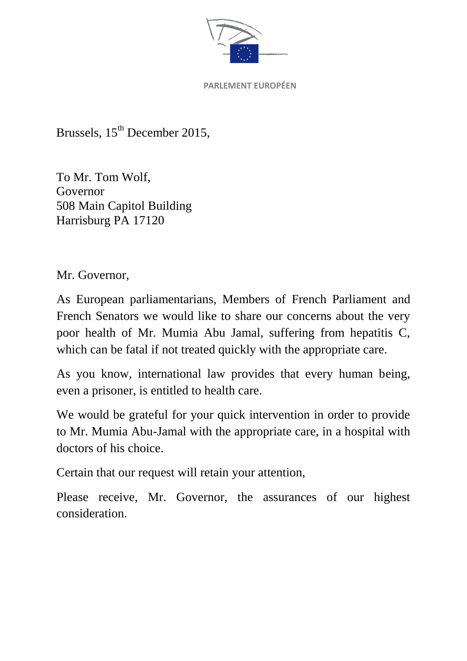

Brussels, 15<sup>th</sup> December 2015,

To Mr. Tom Wolf, Governor 508 Main Capitol Building Harrisburg PA 17120

Mr. Governor,

As European parliamentarians, Members of French Parliament and French Senators we would like to share our concerns about the very poor health of Mr. Mumia Abu Jamal, suffering from hepatitis C, which can be fatal if not treated quickly with the appropriate care.

As you know, international law provides that every human being, even a prisoner, is entitled to health care.

We would be grateful for your quick intervention in order to provide to Mr. Mumia Abu-Jamal with the appropriate care, in a hospital with doctors of his choice.

Certain that our request will retain your attention,

Please receive, Mr. Governor, the assurances of our highest consideration.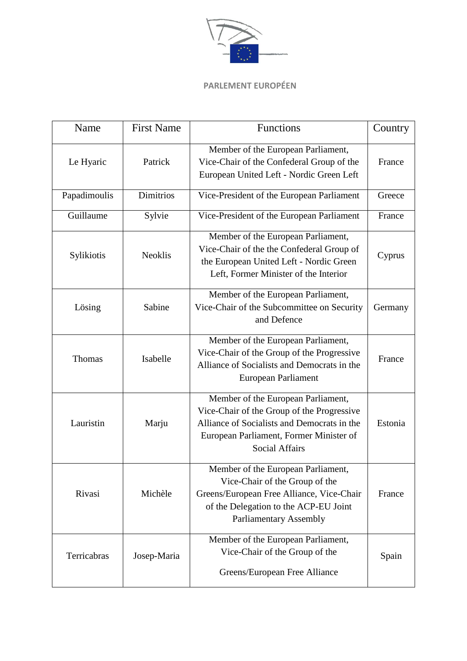

| Name         | <b>First Name</b> | Functions                                                                                                                                                                                           | Country |
|--------------|-------------------|-----------------------------------------------------------------------------------------------------------------------------------------------------------------------------------------------------|---------|
| Le Hyaric    | Patrick           | Member of the European Parliament,<br>Vice-Chair of the Confederal Group of the<br>European United Left - Nordic Green Left                                                                         | France  |
| Papadimoulis | <b>Dimitrios</b>  | Vice-President of the European Parliament                                                                                                                                                           | Greece  |
| Guillaume    | Sylvie            | Vice-President of the European Parliament                                                                                                                                                           | France  |
| Sylikiotis   | <b>Neoklis</b>    | Member of the European Parliament,<br>Vice-Chair of the the Confederal Group of<br>the European United Left - Nordic Green<br>Left, Former Minister of the Interior                                 | Cyprus  |
| Lösing       | Sabine            | Member of the European Parliament,<br>Vice-Chair of the Subcommittee on Security<br>and Defence                                                                                                     | Germany |
| Thomas       | Isabelle          | Member of the European Parliament,<br>Vice-Chair of the Group of the Progressive<br>Alliance of Socialists and Democrats in the<br><b>European Parliament</b>                                       | France  |
| Lauristin    | Marju             | Member of the European Parliament,<br>Vice-Chair of the Group of the Progressive<br>Alliance of Socialists and Democrats in the<br>European Parliament, Former Minister of<br><b>Social Affairs</b> | Estonia |
| Rivasi       | Michèle           | Member of the European Parliament,<br>Vice-Chair of the Group of the<br>Greens/European Free Alliance, Vice-Chair<br>of the Delegation to the ACP-EU Joint<br><b>Parliamentary Assembly</b>         | France  |
| Terricabras  | Josep-Maria       | Member of the European Parliament,<br>Vice-Chair of the Group of the<br>Greens/European Free Alliance                                                                                               | Spain   |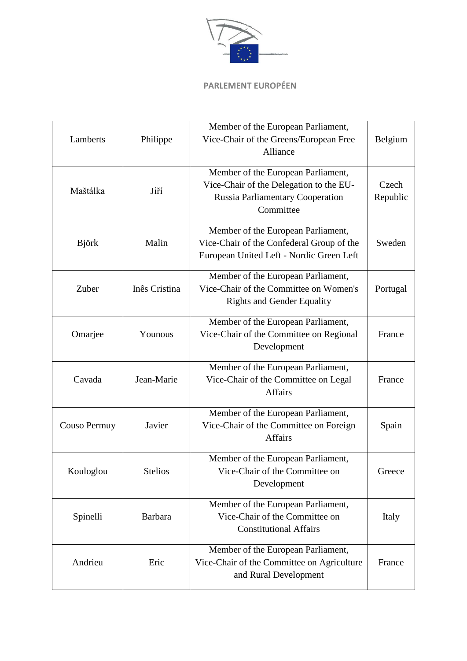

| Lamberts     | Philippe       | Member of the European Parliament,<br>Vice-Chair of the Greens/European Free<br>Alliance                                              | Belgium           |
|--------------|----------------|---------------------------------------------------------------------------------------------------------------------------------------|-------------------|
| Maštálka     | Jiří           | Member of the European Parliament,<br>Vice-Chair of the Delegation to the EU-<br><b>Russia Parliamentary Cooperation</b><br>Committee | Czech<br>Republic |
| <b>Björk</b> | Malin          | Member of the European Parliament,<br>Vice-Chair of the Confederal Group of the<br>European United Left - Nordic Green Left           | Sweden            |
| Zuber        | Inês Cristina  | Member of the European Parliament,<br>Vice-Chair of the Committee on Women's<br><b>Rights and Gender Equality</b>                     | Portugal          |
| Omarjee      | Younous        | Member of the European Parliament,<br>Vice-Chair of the Committee on Regional<br>Development                                          | France            |
| Cavada       | Jean-Marie     | Member of the European Parliament,<br>Vice-Chair of the Committee on Legal<br><b>Affairs</b>                                          | France            |
| Couso Permuy | Javier         | Member of the European Parliament,<br>Vice-Chair of the Committee on Foreign<br>Affairs                                               | Spain             |
| Kouloglou    | <b>Stelios</b> | Member of the European Parliament,<br>Vice-Chair of the Committee on<br>Development                                                   | Greece            |
| Spinelli     | <b>Barbara</b> | Member of the European Parliament,<br>Vice-Chair of the Committee on<br><b>Constitutional Affairs</b>                                 | Italy             |
| Andrieu      | Eric           | Member of the European Parliament,<br>Vice-Chair of the Committee on Agriculture<br>and Rural Development                             | France            |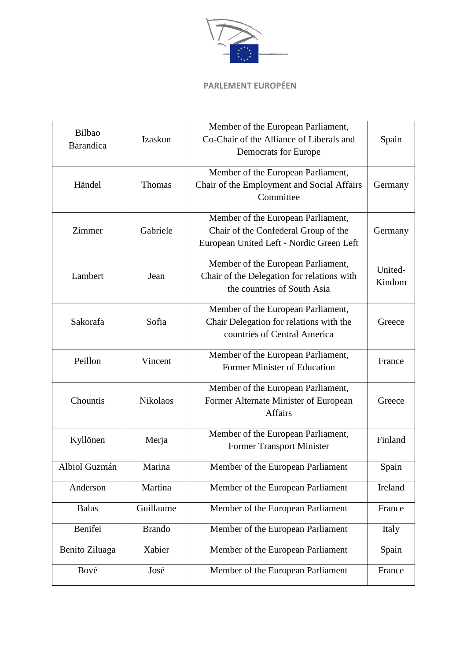

| Bilbao<br>Barandica | Izaskun         | Member of the European Parliament,<br>Co-Chair of the Alliance of Liberals and<br>Democrats for Europe                 | Spain             |
|---------------------|-----------------|------------------------------------------------------------------------------------------------------------------------|-------------------|
| Händel              | Thomas          | Member of the European Parliament,<br>Chair of the Employment and Social Affairs<br>Committee                          | Germany           |
| Zimmer              | Gabriele        | Member of the European Parliament,<br>Chair of the Confederal Group of the<br>European United Left - Nordic Green Left | Germany           |
| Lambert             | Jean            | Member of the European Parliament,<br>Chair of the Delegation for relations with<br>the countries of South Asia        | United-<br>Kindom |
| Sakorafa            | Sofia           | Member of the European Parliament,<br>Chair Delegation for relations with the<br>countries of Central America          | Greece            |
| Peillon             | Vincent         | Member of the European Parliament,<br>Former Minister of Education                                                     | France            |
| Chountis            | <b>Nikolaos</b> | Member of the European Parliament,<br>Former Alternate Minister of European<br><b>Affairs</b>                          | Greece            |
| Kyllönen            | Merja           | Member of the European Parliament,<br><b>Former Transport Minister</b>                                                 | Finland           |
| Albiol Guzmán       | Marina          | Member of the European Parliament                                                                                      | Spain             |
| Anderson            | Martina         | Member of the European Parliament                                                                                      | Ireland           |
| <b>Balas</b>        | Guillaume       | Member of the European Parliament                                                                                      | France            |
| Benifei             | <b>Brando</b>   | Member of the European Parliament                                                                                      | Italy             |
| Benito Ziluaga      | Xabier          | Member of the European Parliament                                                                                      | Spain             |
| Bové                | José            | Member of the European Parliament                                                                                      | France            |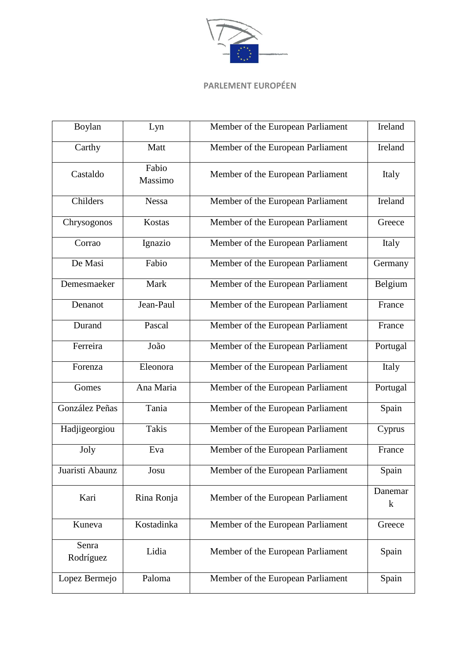

| Boylan             | Lyn              | Member of the European Parliament | Ireland            |
|--------------------|------------------|-----------------------------------|--------------------|
| Carthy             | Matt             | Member of the European Parliament | Ireland            |
| Castaldo           | Fabio<br>Massimo | Member of the European Parliament | Italy              |
| Childers           | <b>Nessa</b>     | Member of the European Parliament | Ireland            |
| Chrysogonos        | Kostas           | Member of the European Parliament | Greece             |
| Corrao             | Ignazio          | Member of the European Parliament | Italy              |
| De Masi            | Fabio            | Member of the European Parliament | Germany            |
| Demesmaeker        | Mark             | Member of the European Parliament | Belgium            |
| Denanot            | Jean-Paul        | Member of the European Parliament | France             |
| Durand             | Pascal           | Member of the European Parliament | France             |
| Ferreira           | João             | Member of the European Parliament | Portugal           |
| Forenza            | Eleonora         | Member of the European Parliament | Italy              |
| Gomes              | Ana Maria        | Member of the European Parliament | Portugal           |
| González Peñas     | Tania            | Member of the European Parliament | Spain              |
| Hadjigeorgiou      | <b>Takis</b>     | Member of the European Parliament | Cyprus             |
| Joly               | Eva              | Member of the European Parliament | France             |
| Juaristi Abaunz    | Josu             | Member of the European Parliament | Spain              |
| Kari               | Rina Ronja       | Member of the European Parliament | Danemar<br>$\bf k$ |
| Kuneva             | Kostadinka       | Member of the European Parliament | Greece             |
| Senra<br>Rodríguez | Lidia            | Member of the European Parliament | Spain              |
| Lopez Bermejo      | Paloma           | Member of the European Parliament | Spain              |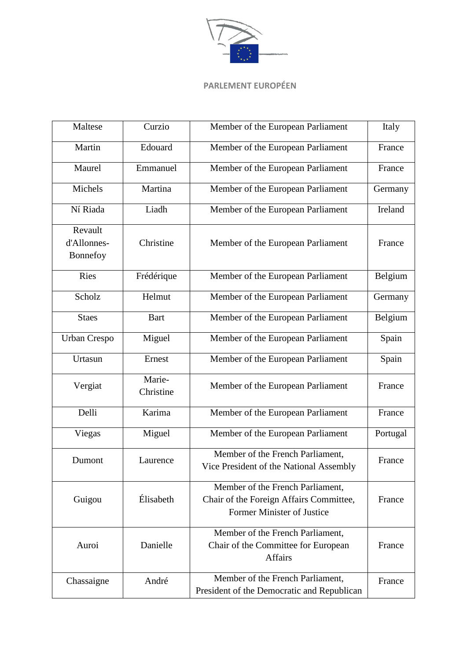

| Maltese                            | Curzio              | Member of the European Parliament                                                                         | Italy    |
|------------------------------------|---------------------|-----------------------------------------------------------------------------------------------------------|----------|
| Martin                             | Edouard             | Member of the European Parliament                                                                         | France   |
| Maurel                             | Emmanuel            | Member of the European Parliament                                                                         | France   |
| Michels                            | Martina             | Member of the European Parliament                                                                         | Germany  |
| Ní Riada                           | Liadh               | Member of the European Parliament                                                                         | Ireland  |
| Revault<br>d'Allonnes-<br>Bonnefoy | Christine           | Member of the European Parliament                                                                         | France   |
| Ries                               | Frédérique          | Member of the European Parliament                                                                         | Belgium  |
| Scholz                             | Helmut              | Member of the European Parliament                                                                         | Germany  |
| <b>Staes</b>                       | <b>Bart</b>         | Member of the European Parliament                                                                         | Belgium  |
| <b>Urban Crespo</b>                | Miguel              | Member of the European Parliament                                                                         | Spain    |
| Urtasun                            | Ernest              | Member of the European Parliament                                                                         | Spain    |
| Vergiat                            | Marie-<br>Christine | Member of the European Parliament                                                                         | France   |
| Delli                              | Karima              | Member of the European Parliament                                                                         | France   |
| Viegas                             | Miguel              | Member of the European Parliament                                                                         | Portugal |
| Dumont                             | Laurence            | Member of the French Parliament,<br>Vice President of the National Assembly                               | France   |
| Guigou                             | Élisabeth           | Member of the French Parliament,<br>Chair of the Foreign Affairs Committee,<br>Former Minister of Justice | France   |
| Auroi                              | Danielle            | Member of the French Parliament,<br>Chair of the Committee for European<br><b>Affairs</b>                 | France   |
| Chassaigne                         | André               | Member of the French Parliament,<br>President of the Democratic and Republican                            | France   |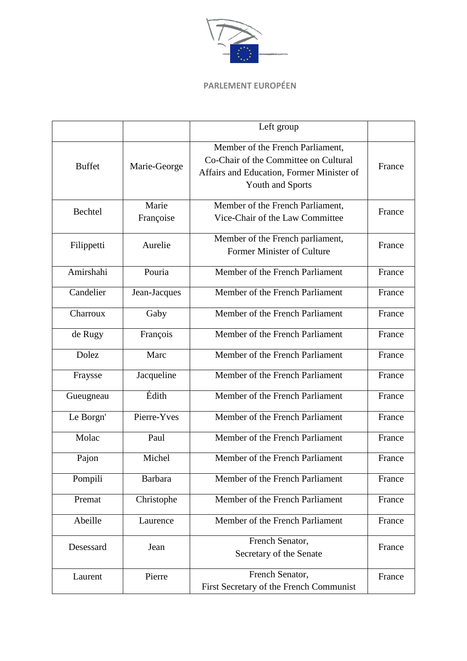

|               |                    | Left group                                                                                                                                        |        |
|---------------|--------------------|---------------------------------------------------------------------------------------------------------------------------------------------------|--------|
| <b>Buffet</b> | Marie-George       | Member of the French Parliament,<br>Co-Chair of the Committee on Cultural<br>Affairs and Education, Former Minister of<br><b>Youth and Sports</b> | France |
| Bechtel       | Marie<br>Françoise | Member of the French Parliament,<br>Vice-Chair of the Law Committee                                                                               | France |
| Filippetti    | Aurelie            | Member of the French parliament,<br>Former Minister of Culture                                                                                    | France |
| Amirshahi     | Pouria             | Member of the French Parliament                                                                                                                   | France |
| Candelier     | Jean-Jacques       | Member of the French Parliament                                                                                                                   | France |
| Charroux      | Gaby               | Member of the French Parliament                                                                                                                   | France |
| de Rugy       | François           | Member of the French Parliament                                                                                                                   | France |
| Dolez         | Marc               | Member of the French Parliament                                                                                                                   | France |
| Fraysse       | Jacqueline         | Member of the French Parliament                                                                                                                   | France |
| Gueugneau     | Édith              | Member of the French Parliament                                                                                                                   | France |
| Le Borgn'     | Pierre-Yves        | Member of the French Parliament                                                                                                                   | France |
| Molac         | Paul               | Member of the French Parliament                                                                                                                   | France |
| Pajon         | Michel             | Member of the French Parliament                                                                                                                   | France |
| Pompili       | <b>Barbara</b>     | Member of the French Parliament                                                                                                                   | France |
| Premat        | Christophe         | Member of the French Parliament                                                                                                                   | France |
| Abeille       | Laurence           | Member of the French Parliament                                                                                                                   | France |
| Desessard     | Jean               | French Senator,<br>Secretary of the Senate                                                                                                        | France |
| Laurent       | Pierre             | French Senator,<br>First Secretary of the French Communist                                                                                        | France |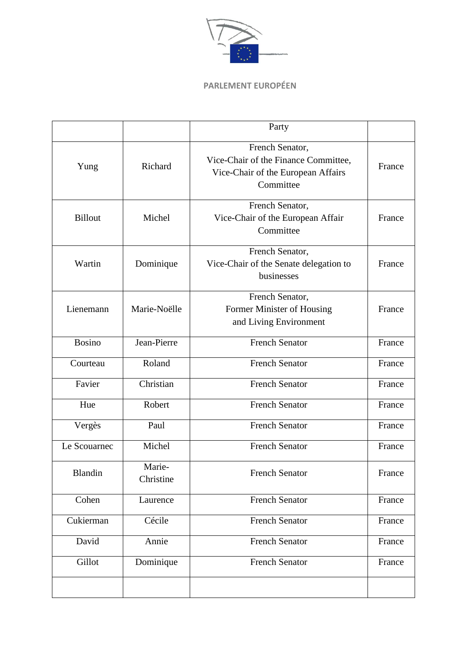

|                |                     | Party                                                                                                      |        |
|----------------|---------------------|------------------------------------------------------------------------------------------------------------|--------|
| Yung           | Richard             | French Senator,<br>Vice-Chair of the Finance Committee,<br>Vice-Chair of the European Affairs<br>Committee | France |
| <b>Billout</b> | Michel              | French Senator,<br>Vice-Chair of the European Affair<br>Committee                                          | France |
| Wartin         | Dominique           | French Senator,<br>Vice-Chair of the Senate delegation to<br>businesses                                    | France |
| Lienemann      | Marie-Noëlle        | French Senator,<br>Former Minister of Housing<br>and Living Environment                                    | France |
| <b>Bosino</b>  | Jean-Pierre         | <b>French Senator</b>                                                                                      | France |
| Courteau       | Roland              | <b>French Senator</b>                                                                                      | France |
| Favier         | Christian           | <b>French Senator</b>                                                                                      | France |
| Hue            | Robert              | <b>French Senator</b>                                                                                      | France |
| Vergès         | Paul                | <b>French Senator</b>                                                                                      | France |
| Le Scouarnec   | Michel              | <b>French Senator</b>                                                                                      | France |
| Blandin        | Marie-<br>Christine | <b>French Senator</b>                                                                                      | France |
| Cohen          | Laurence            | <b>French Senator</b>                                                                                      | France |
| Cukierman      | Cécile              | <b>French Senator</b>                                                                                      | France |
| David          | Annie               | <b>French Senator</b>                                                                                      | France |
| Gillot         | Dominique           | <b>French Senator</b>                                                                                      | France |
|                |                     |                                                                                                            |        |